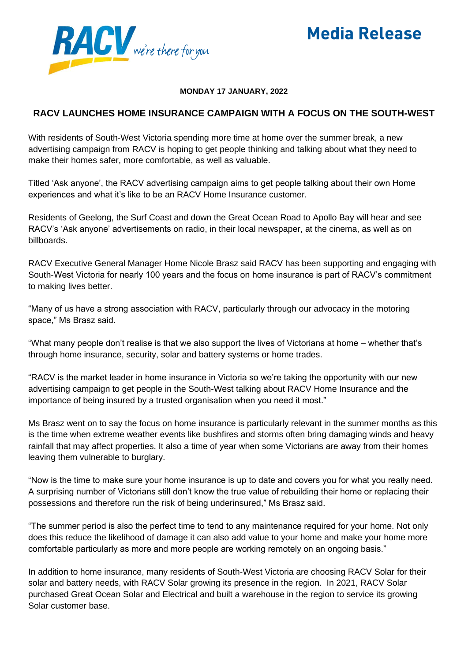

## **Media Release**

## **MONDAY 17 JANUARY, 2022**

## **RACV LAUNCHES HOME INSURANCE CAMPAIGN WITH A FOCUS ON THE SOUTH-WEST**

With residents of South-West Victoria spending more time at home over the summer break, a new advertising campaign from RACV is hoping to get people thinking and talking about what they need to make their homes safer, more comfortable, as well as valuable.

Titled 'Ask anyone', the RACV advertising campaign aims to get people talking about their own Home experiences and what it's like to be an RACV Home Insurance customer.

Residents of Geelong, the Surf Coast and down the Great Ocean Road to Apollo Bay will hear and see RACV's 'Ask anyone' advertisements on radio, in their local newspaper, at the cinema, as well as on billboards.

RACV Executive General Manager Home Nicole Brasz said RACV has been supporting and engaging with South-West Victoria for nearly 100 years and the focus on home insurance is part of RACV's commitment to making lives better.

"Many of us have a strong association with RACV, particularly through our advocacy in the motoring space," Ms Brasz said.

"What many people don't realise is that we also support the lives of Victorians at home – whether that's through home insurance, security, solar and battery systems or home trades.

"RACV is the market leader in home insurance in Victoria so we're taking the opportunity with our new advertising campaign to get people in the South-West talking about RACV Home Insurance and the importance of being insured by a trusted organisation when you need it most."

Ms Brasz went on to say the focus on home insurance is particularly relevant in the summer months as this is the time when extreme weather events like bushfires and storms often bring damaging winds and heavy rainfall that may affect properties. It also a time of year when some Victorians are away from their homes leaving them vulnerable to burglary.

"Now is the time to make sure your home insurance is up to date and covers you for what you really need. A surprising number of Victorians still don't know the true value of rebuilding their home or replacing their possessions and therefore run the risk of being underinsured," Ms Brasz said.

"The summer period is also the perfect time to tend to any maintenance required for your home. Not only does this reduce the likelihood of damage it can also add value to your home and make your home more comfortable particularly as more and more people are working remotely on an ongoing basis."

In addition to home insurance, many residents of South-West Victoria are choosing RACV Solar for their solar and battery needs, with RACV Solar growing its presence in the region. In 2021, RACV Solar purchased Great Ocean Solar and Electrical and built a warehouse in the region to service its growing Solar customer base.